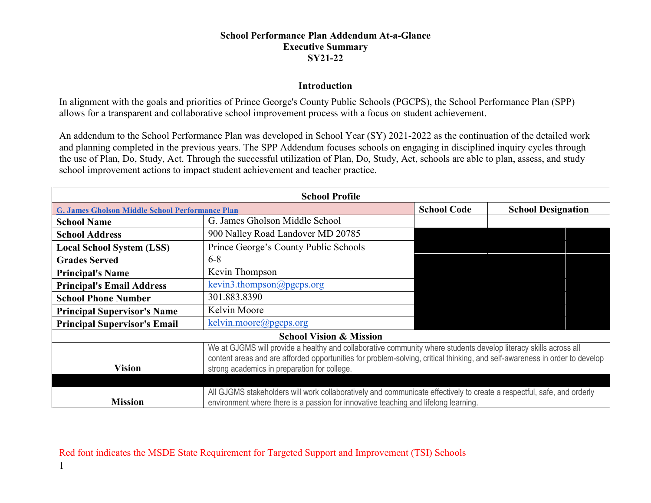## **School Performance Plan Addendum At-a-Glance Executive Summary SY21-22**

## **Introduction**

In alignment with the goals and priorities of Prince George's County Public Schools (PGCPS), the School Performance Plan (SPP) allows for a transparent and collaborative school improvement process with a focus on student achievement.

An addendum to the School Performance Plan was developed in School Year (SY) 2021-2022 as the continuation of the detailed work and planning completed in the previous years. The SPP Addendum focuses schools on engaging in disciplined inquiry cycles through the use of Plan, Do, Study, Act. Through the successful utilization of Plan, Do, Study, Act, schools are able to plan, assess, and study school improvement actions to impact student achievement and teacher practice.

| <b>School Profile</b>                                  |                                                                                                                                                                                                                                                                                                 |                    |                           |  |  |
|--------------------------------------------------------|-------------------------------------------------------------------------------------------------------------------------------------------------------------------------------------------------------------------------------------------------------------------------------------------------|--------------------|---------------------------|--|--|
| <b>G. James Gholson Middle School Performance Plan</b> |                                                                                                                                                                                                                                                                                                 | <b>School Code</b> | <b>School Designation</b> |  |  |
| <b>School Name</b>                                     | G. James Gholson Middle School                                                                                                                                                                                                                                                                  |                    |                           |  |  |
| <b>School Address</b>                                  | 900 Nalley Road Landover MD 20785                                                                                                                                                                                                                                                               |                    |                           |  |  |
| <b>Local School System (LSS)</b>                       | Prince George's County Public Schools                                                                                                                                                                                                                                                           |                    |                           |  |  |
| <b>Grades Served</b>                                   | $6 - 8$                                                                                                                                                                                                                                                                                         |                    |                           |  |  |
| <b>Principal's Name</b>                                | Kevin Thompson                                                                                                                                                                                                                                                                                  |                    |                           |  |  |
| <b>Principal's Email Address</b>                       | kevin3.thompson@pgcps.org                                                                                                                                                                                                                                                                       |                    |                           |  |  |
| <b>School Phone Number</b>                             | 301.883.8390                                                                                                                                                                                                                                                                                    |                    |                           |  |  |
| <b>Principal Supervisor's Name</b>                     | Kelvin Moore                                                                                                                                                                                                                                                                                    |                    |                           |  |  |
| <b>Principal Supervisor's Email</b>                    | $kelvin.moore(\omega)$ pgcps.org                                                                                                                                                                                                                                                                |                    |                           |  |  |
| <b>School Vision &amp; Mission</b>                     |                                                                                                                                                                                                                                                                                                 |                    |                           |  |  |
| <b>Vision</b>                                          | We at GJGMS will provide a healthy and collaborative community where students develop literacy skills across all<br>content areas and are afforded opportunities for problem-solving, critical thinking, and self-awareness in order to develop<br>strong academics in preparation for college. |                    |                           |  |  |
|                                                        |                                                                                                                                                                                                                                                                                                 |                    |                           |  |  |
| <b>Mission</b>                                         | All GJGMS stakeholders will work collaboratively and communicate effectively to create a respectful, safe, and orderly<br>environment where there is a passion for innovative teaching and lifelong learning.                                                                                   |                    |                           |  |  |